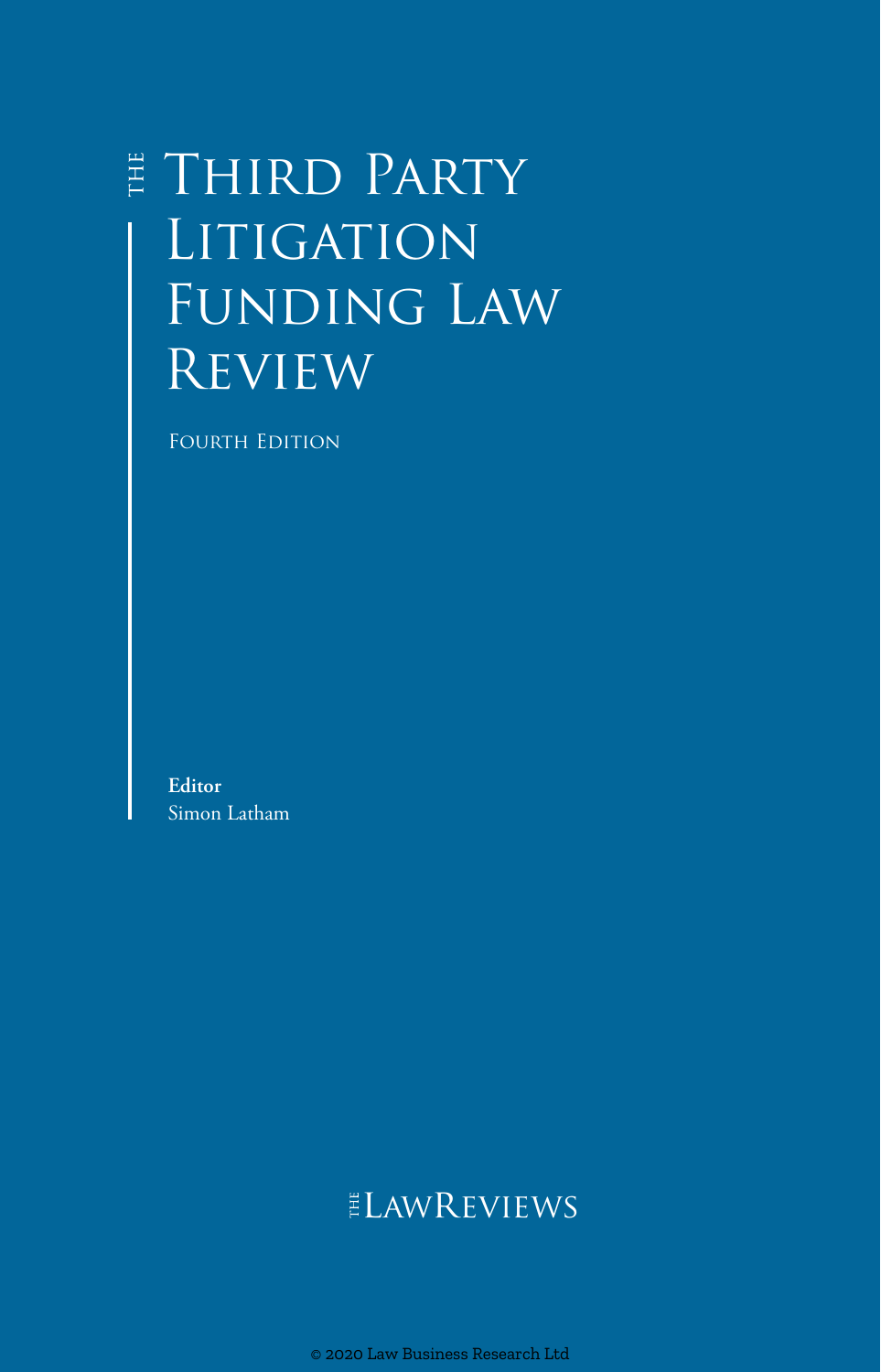# **E THIRD PARTY LITIGATION** Funding Law **REVIEW**

Fourth Edition

**Editor** Simon Latham

## ELAWREVIEWS

© 2020 Law Business Research Ltd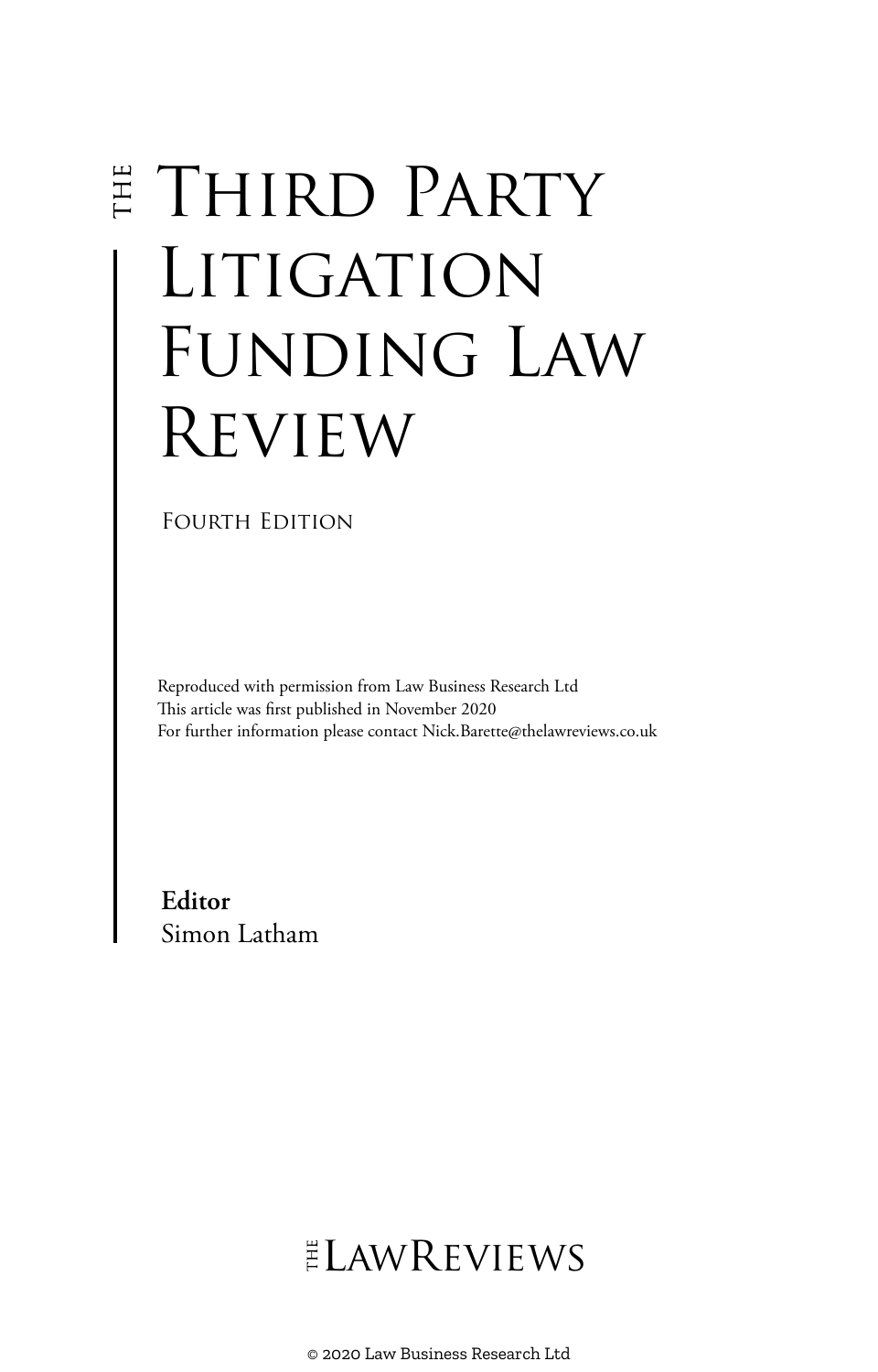# **E THIRD PARTY** LITIGATION FUNDING LAW Review

FOURTH EDITION

Reproduced with permission from Law Business Research Ltd This article was first published in November 2020 For further information please contact Nick.Barette@thelawreviews.co.uk

**Editor** Simon Latham

ELAWREVIEWS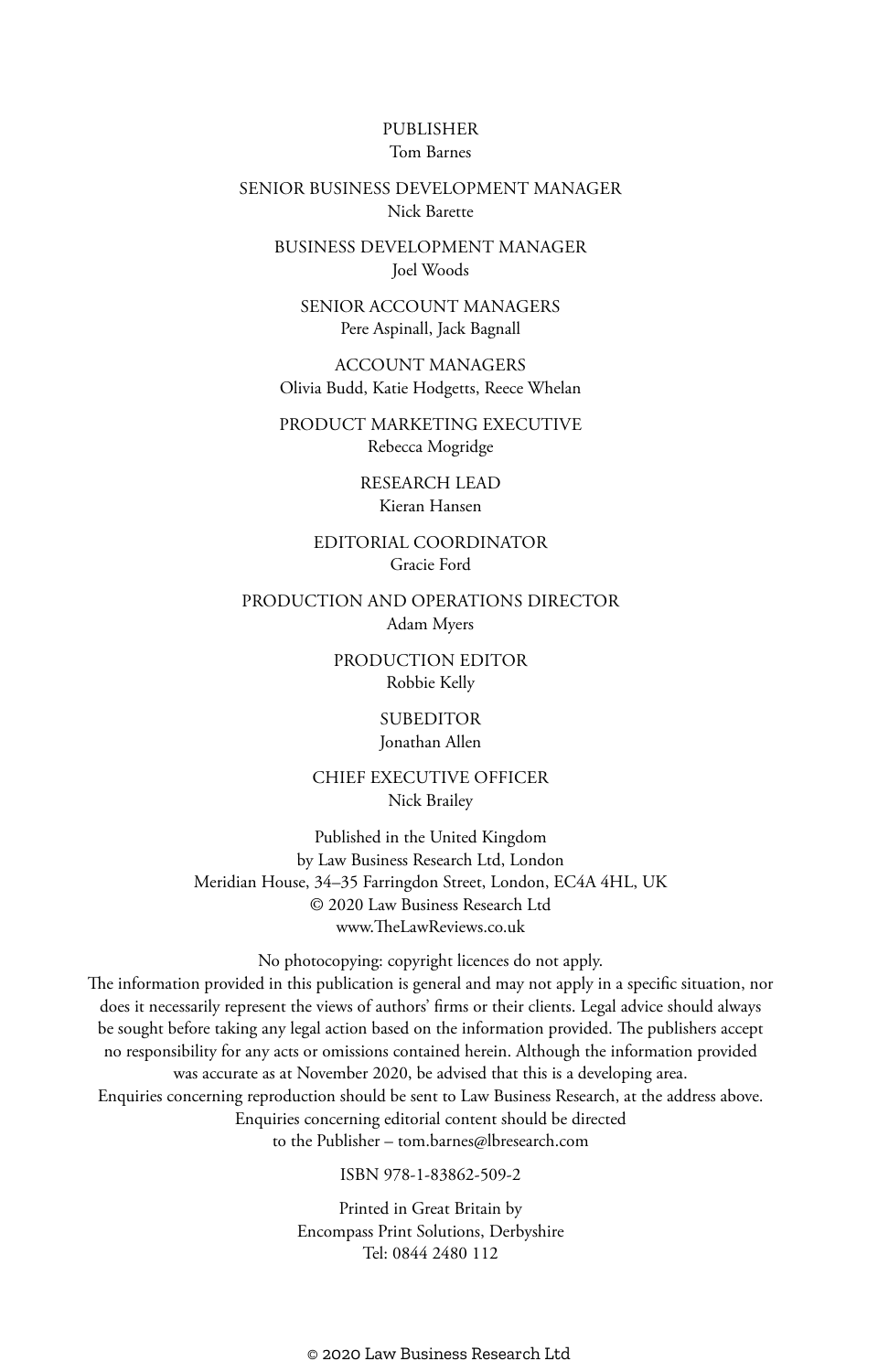#### PUBLISHER Tom Barnes

#### SENIOR BUSINESS DEVELOPMENT MANAGER Nick Barette

BUSINESS DEVELOPMENT MANAGER Joel Woods

SENIOR ACCOUNT MANAGERS Pere Aspinall, Jack Bagnall

ACCOUNT MANAGERS Olivia Budd, Katie Hodgetts, Reece Whelan

PRODUCT MARKETING EXECUTIVE Rebecca Mogridge

> RESEARCH LEAD Kieran Hansen

EDITORIAL COORDINATOR Gracie Ford

PRODUCTION AND OPERATIONS DIRECTOR Adam Myers

> PRODUCTION EDITOR Robbie Kelly

> > SUBEDITOR Jonathan Allen

CHIEF EXECUTIVE OFFICER Nick Brailey

Published in the United Kingdom by Law Business Research Ltd, London Meridian House, 34–35 Farringdon Street, London, EC4A 4HL, UK © 2020 Law Business Research Ltd www.TheLawReviews.co.uk

No photocopying: copyright licences do not apply. The information provided in this publication is general and may not apply in a specific situation, nor does it necessarily represent the views of authors' firms or their clients. Legal advice should always be sought before taking any legal action based on the information provided. The publishers accept no responsibility for any acts or omissions contained herein. Although the information provided was accurate as at November 2020, be advised that this is a developing area. Enquiries concerning reproduction should be sent to Law Business Research, at the address above. Enquiries concerning editorial content should be directed to the Publisher – tom.barnes@lbresearch.com

ISBN 978-1-83862-509-2

Printed in Great Britain by Encompass Print Solutions, Derbyshire Tel: 0844 2480 112

© 2020 Law Business Research Ltd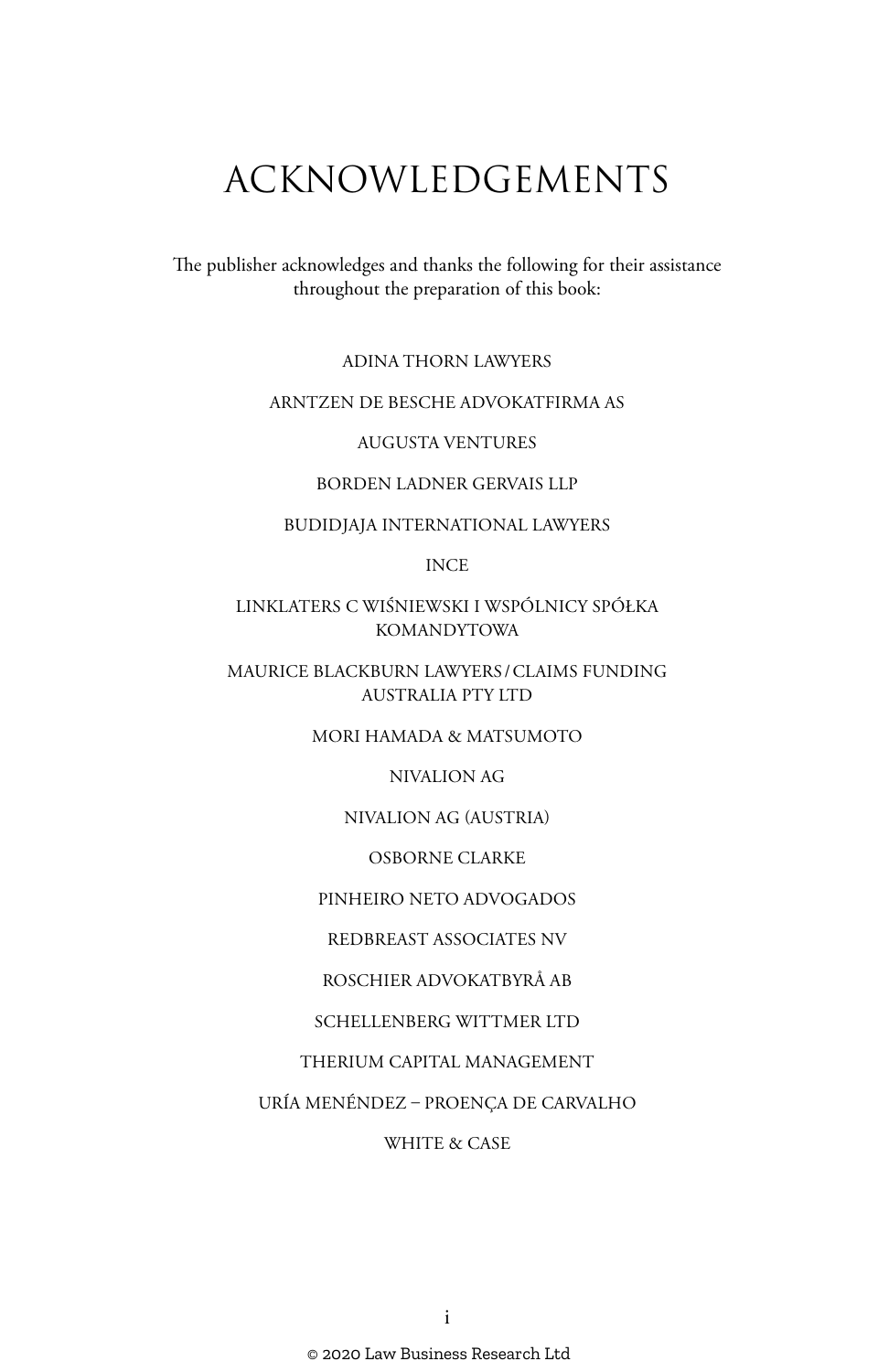# ACKNOWLEDGEMENTS

The publisher acknowledges and thanks the following for their assistance throughout the preparation of this book:

ADINA THORN LAWYERS

#### ARNTZEN DE BESCHE ADVOKATFIRMA AS

AUGUSTA VENTURES

#### BORDEN LADNER GERVAIS LLP

#### BUDIDJAJA INTERNATIONAL LAWYERS

INCE

LINKLATERS C WIŚNIEWSKI I WSPÓLNICY SPÓŁKA KOMANDYTOWA

MAURICE BLACKBURN LAWYERS /CLAIMS FUNDING AUSTRALIA PTY LTD

MORI HAMADA & MATSUMOTO

NIVALION AG

NIVALION AG (AUSTRIA)

OSBORNE CLARKE

PINHEIRO NETO ADVOGADOS

REDBREAST ASSOCIATES NV

ROSCHIER ADVOKATBYRÅ AB

SCHELLENBERG WITTMER LTD

THERIUM CAPITAL MANAGEMENT

URÍA MENÉNDEZ – PROENÇA DE CARVALHO

WHITE & CASE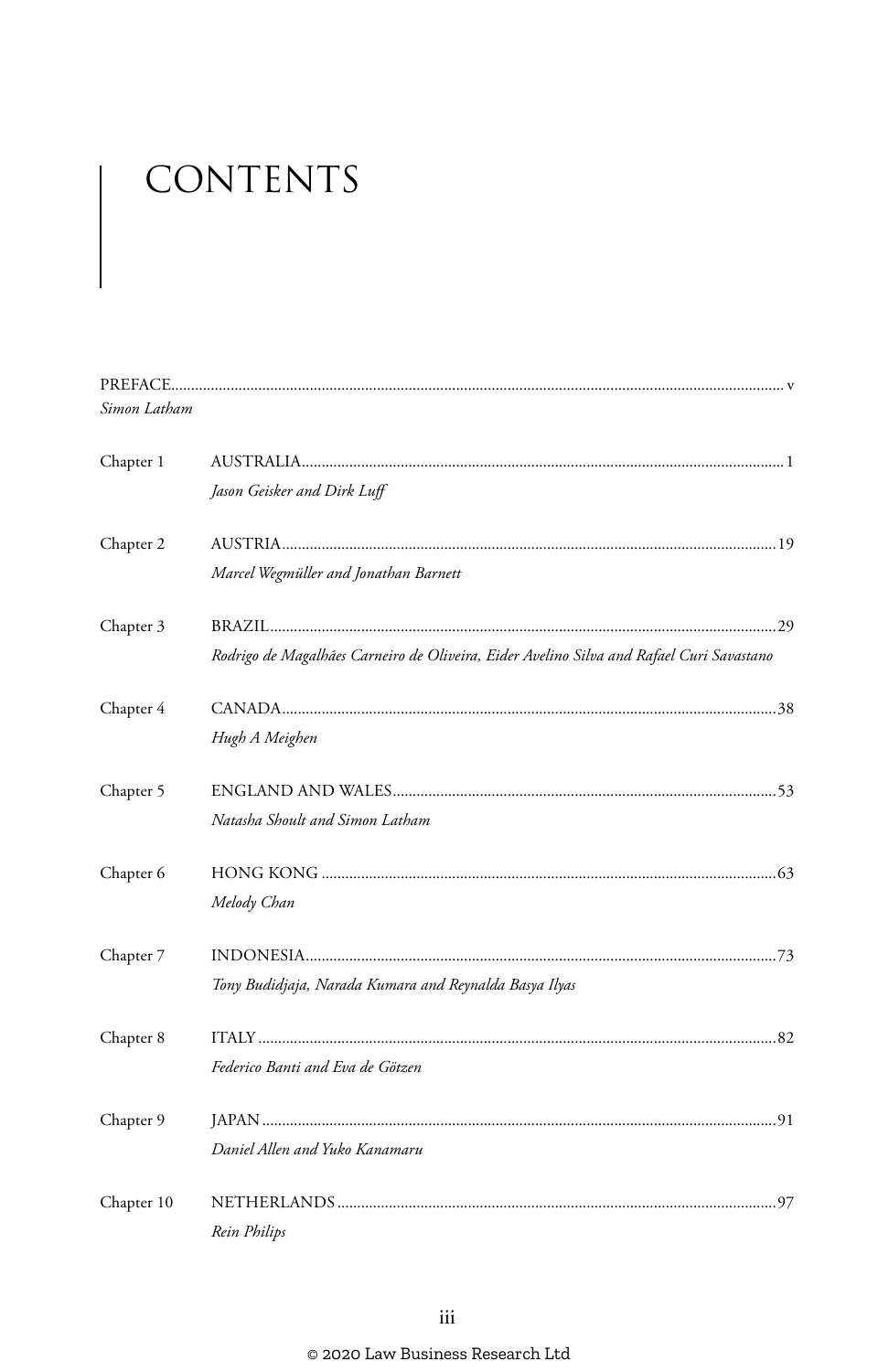# CONTENTS

| Simon Latham |                                                                                          |
|--------------|------------------------------------------------------------------------------------------|
| Chapter 1    |                                                                                          |
|              | Jason Geisker and Dirk Luff                                                              |
| Chapter 2    |                                                                                          |
|              | Marcel Wegmüller and Jonathan Barnett                                                    |
| Chapter 3    |                                                                                          |
|              | Rodrigo de Magalhães Carneiro de Oliveira, Eider Avelino Silva and Rafael Curi Savastano |
| Chapter 4    |                                                                                          |
|              | Hugh A Meighen                                                                           |
| Chapter 5    |                                                                                          |
|              | Natasha Shoult and Simon Latham                                                          |
| Chapter 6    |                                                                                          |
|              | Melody Chan                                                                              |
| Chapter 7    |                                                                                          |
|              | Tony Budidjaja, Narada Kumara and Reynalda Basya Ilyas                                   |
| Chapter 8    |                                                                                          |
|              | Federico Banti and Eva de Götzen                                                         |
| Chapter 9    |                                                                                          |
|              | Daniel Allen and Yuko Kanamaru                                                           |
| Chapter 10   |                                                                                          |
|              | Rein Philips                                                                             |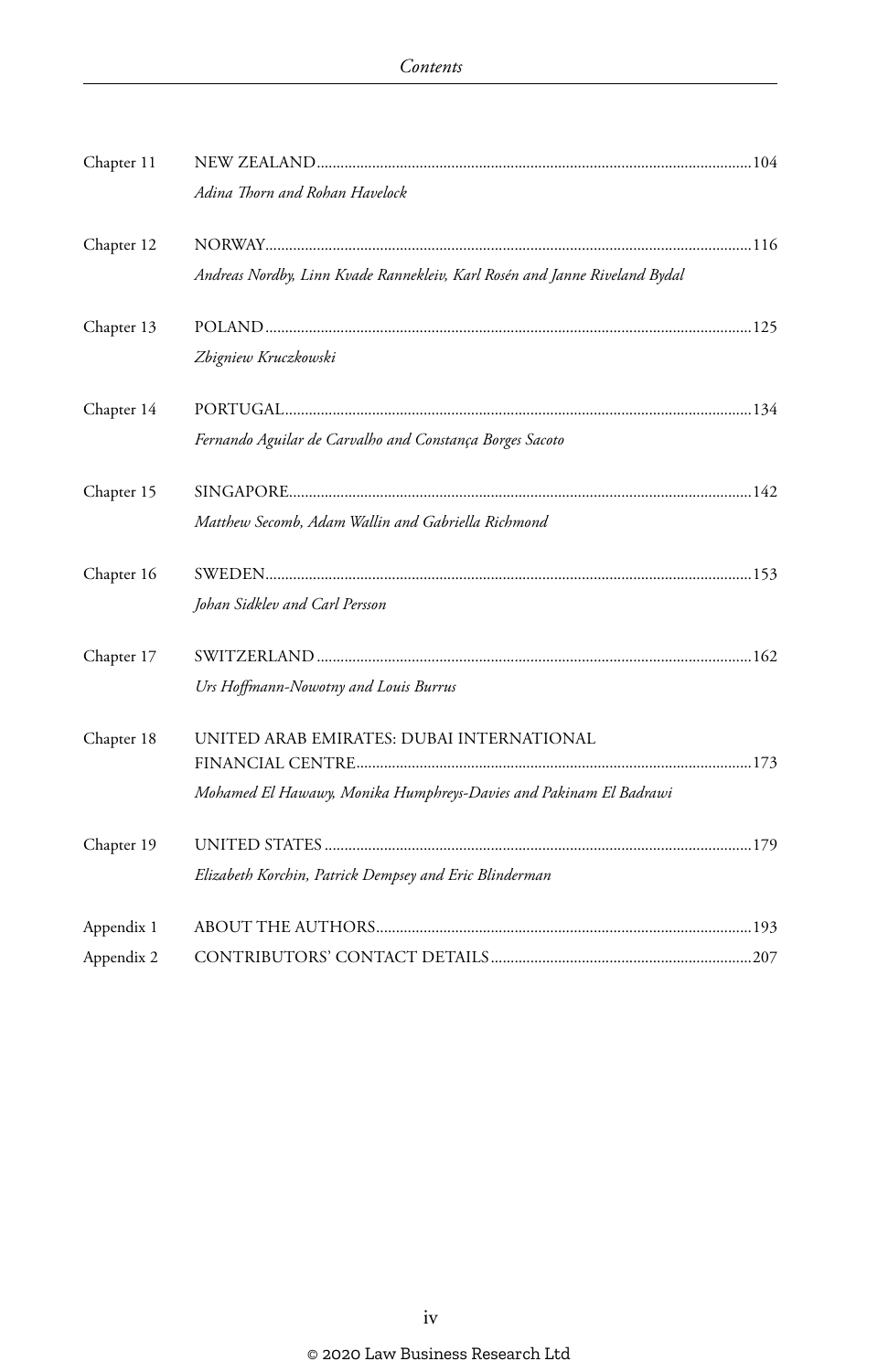| Chapter 11 |                                                                            |  |
|------------|----------------------------------------------------------------------------|--|
|            | Adina Thorn and Rohan Havelock                                             |  |
| Chapter 12 |                                                                            |  |
|            | Andreas Nordby, Linn Kvade Rannekleiv, Karl Rosén and Janne Riveland Bydal |  |
| Chapter 13 |                                                                            |  |
|            | Zbigniew Kruczkowski                                                       |  |
| Chapter 14 |                                                                            |  |
|            | Fernando Aguilar de Carvalho and Constança Borges Sacoto                   |  |
| Chapter 15 |                                                                            |  |
|            | Matthew Secomb, Adam Wallin and Gabriella Richmond                         |  |
| Chapter 16 |                                                                            |  |
|            | Johan Sidklev and Carl Persson                                             |  |
| Chapter 17 |                                                                            |  |
|            | Urs Hoffmann-Nowotny and Louis Burrus                                      |  |
| Chapter 18 | UNITED ARAB EMIRATES: DUBAI INTERNATIONAL                                  |  |
|            |                                                                            |  |
|            | Mohamed El Hawawy, Monika Humphreys-Davies and Pakinam El Badrawi          |  |
| Chapter 19 |                                                                            |  |
|            | Elizabeth Korchin, Patrick Dempsey and Eric Blinderman                     |  |
| Appendix 1 |                                                                            |  |
| Appendix 2 |                                                                            |  |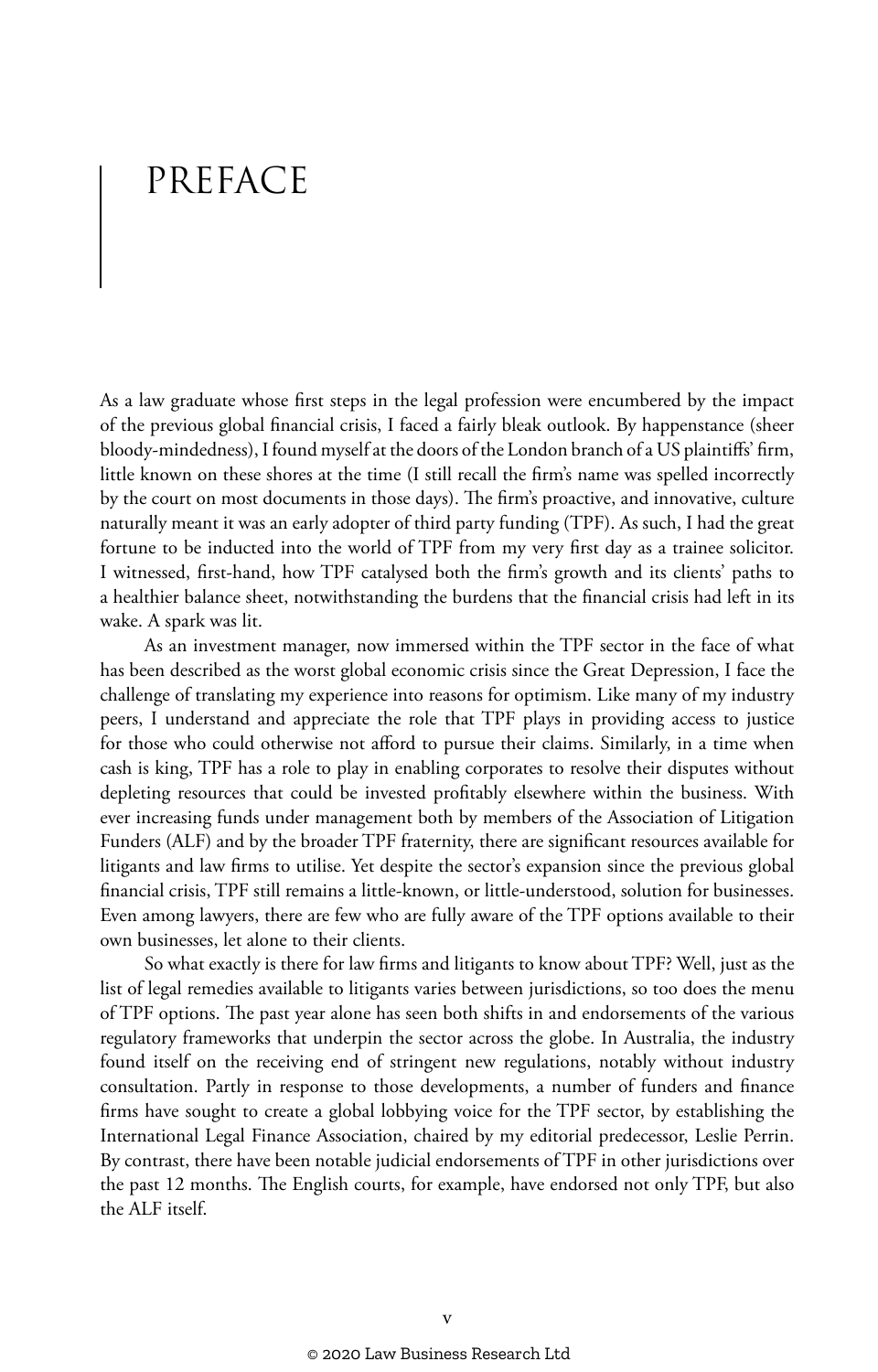# PREFACE

As a law graduate whose first steps in the legal profession were encumbered by the impact of the previous global financial crisis, I faced a fairly bleak outlook. By happenstance (sheer bloody-mindedness), I found myself at the doors of the London branch of a US plaintiffs' firm, little known on these shores at the time (I still recall the firm's name was spelled incorrectly by the court on most documents in those days). The firm's proactive, and innovative, culture naturally meant it was an early adopter of third party funding (TPF). As such, I had the great fortune to be inducted into the world of TPF from my very first day as a trainee solicitor. I witnessed, first-hand, how TPF catalysed both the firm's growth and its clients' paths to a healthier balance sheet, notwithstanding the burdens that the financial crisis had left in its wake. A spark was lit.

As an investment manager, now immersed within the TPF sector in the face of what has been described as the worst global economic crisis since the Great Depression, I face the challenge of translating my experience into reasons for optimism. Like many of my industry peers, I understand and appreciate the role that TPF plays in providing access to justice for those who could otherwise not afford to pursue their claims. Similarly, in a time when cash is king, TPF has a role to play in enabling corporates to resolve their disputes without depleting resources that could be invested profitably elsewhere within the business. With ever increasing funds under management both by members of the Association of Litigation Funders (ALF) and by the broader TPF fraternity, there are significant resources available for litigants and law firms to utilise. Yet despite the sector's expansion since the previous global financial crisis, TPF still remains a little-known, or little-understood, solution for businesses. Even among lawyers, there are few who are fully aware of the TPF options available to their own businesses, let alone to their clients.

So what exactly is there for law firms and litigants to know about TPF? Well, just as the list of legal remedies available to litigants varies between jurisdictions, so too does the menu of TPF options. The past year alone has seen both shifts in and endorsements of the various regulatory frameworks that underpin the sector across the globe. In Australia, the industry found itself on the receiving end of stringent new regulations, notably without industry consultation. Partly in response to those developments, a number of funders and finance firms have sought to create a global lobbying voice for the TPF sector, by establishing the International Legal Finance Association, chaired by my editorial predecessor, Leslie Perrin. By contrast, there have been notable judicial endorsements of TPF in other jurisdictions over the past 12 months. The English courts, for example, have endorsed not only TPF, but also the ALF itself.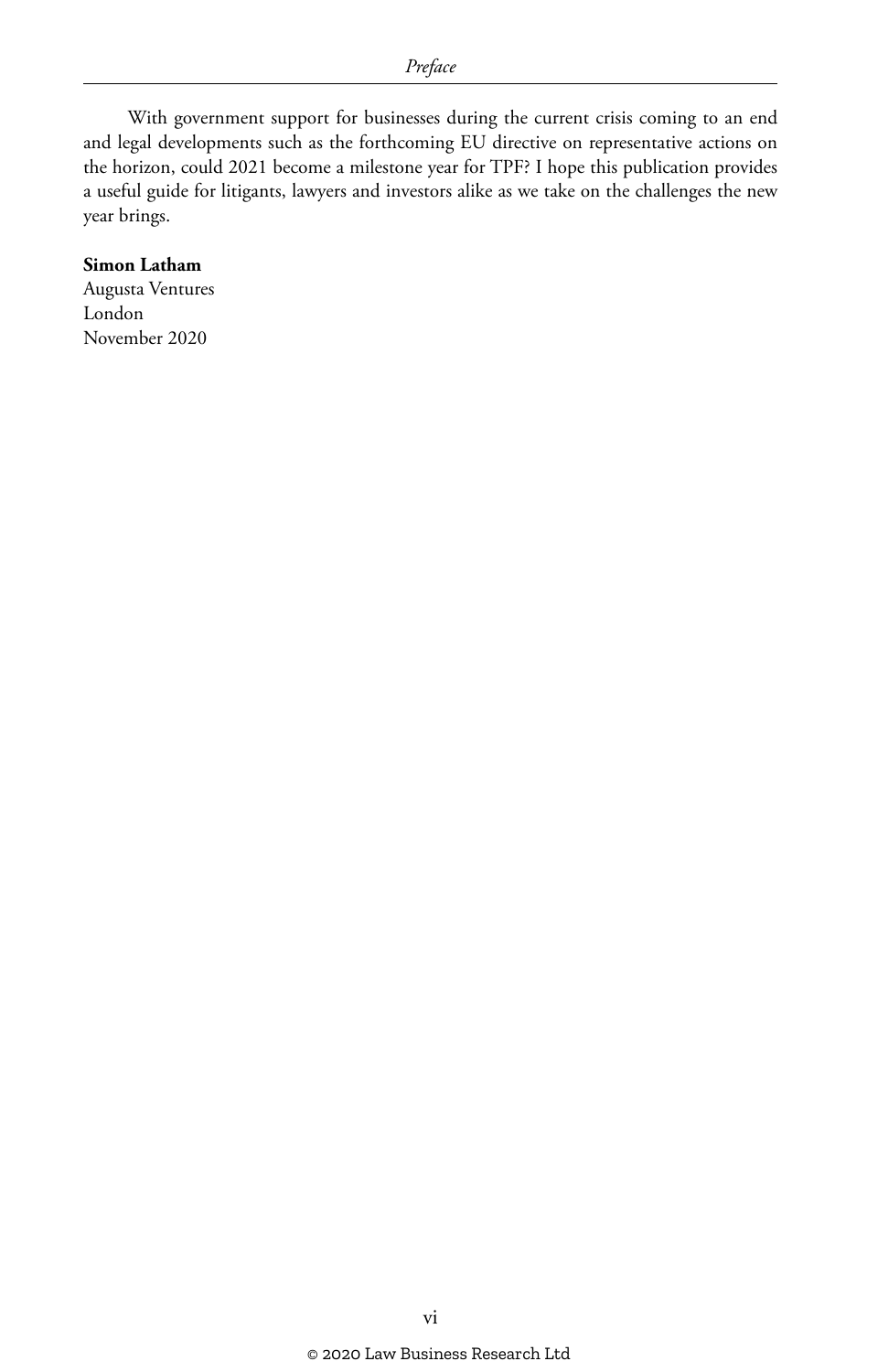With government support for businesses during the current crisis coming to an end and legal developments such as the forthcoming EU directive on representative actions on the horizon, could 2021 become a milestone year for TPF? I hope this publication provides a useful guide for litigants, lawyers and investors alike as we take on the challenges the new year brings.

#### **Simon Latham**

Augusta Ventures London November 2020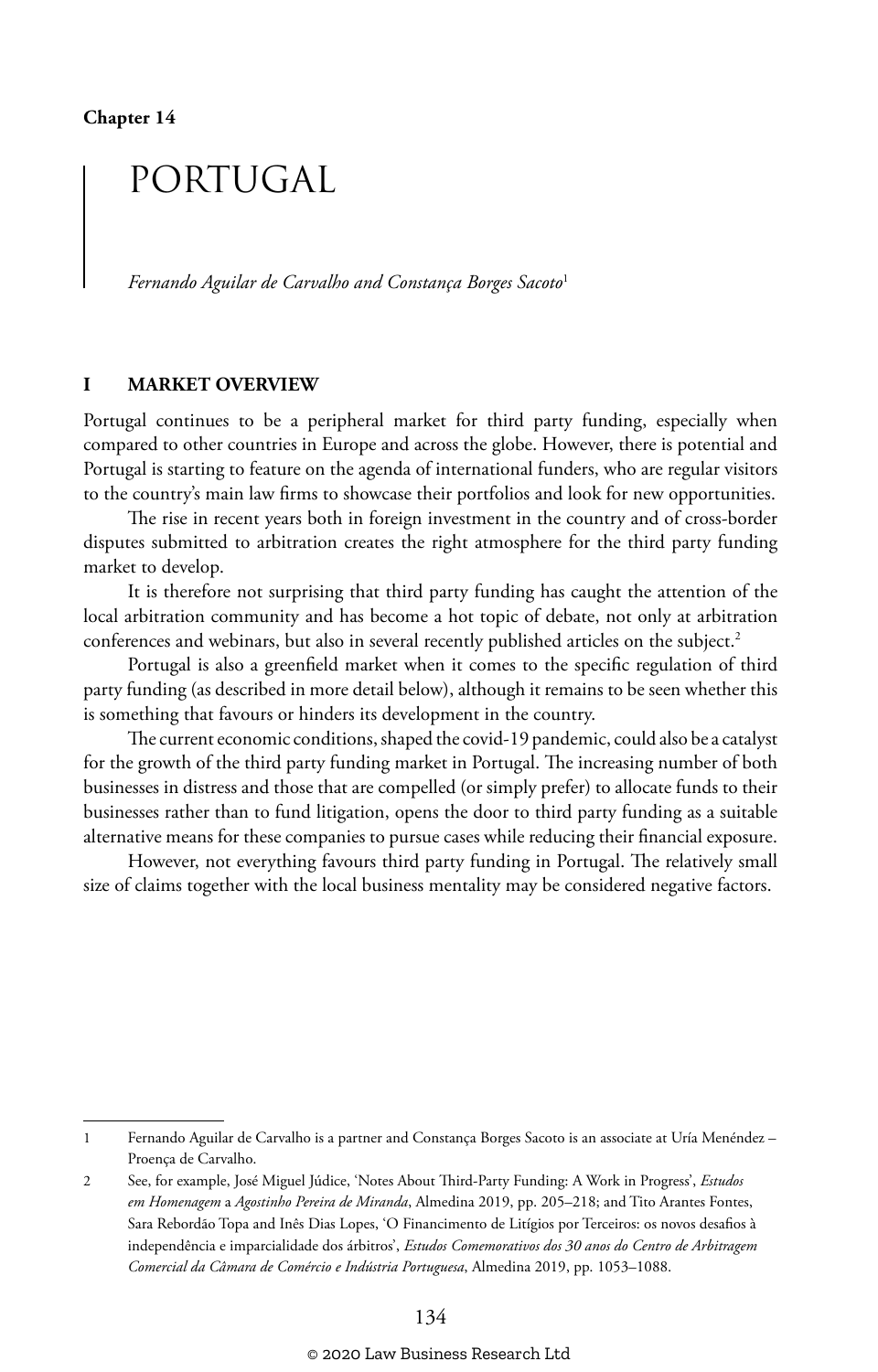## PORTUGAL

*Fernando Aguilar de Carvalho and Constança Borges Sacoto*<sup>1</sup>

#### **I MARKET OVERVIEW**

Portugal continues to be a peripheral market for third party funding, especially when compared to other countries in Europe and across the globe. However, there is potential and Portugal is starting to feature on the agenda of international funders, who are regular visitors to the country's main law firms to showcase their portfolios and look for new opportunities.

The rise in recent years both in foreign investment in the country and of cross-border disputes submitted to arbitration creates the right atmosphere for the third party funding market to develop.

It is therefore not surprising that third party funding has caught the attention of the local arbitration community and has become a hot topic of debate, not only at arbitration conferences and webinars, but also in several recently published articles on the subject.<sup>2</sup>

Portugal is also a greenfield market when it comes to the specific regulation of third party funding (as described in more detail below), although it remains to be seen whether this is something that favours or hinders its development in the country.

The current economic conditions, shaped the covid-19 pandemic, could also be a catalyst for the growth of the third party funding market in Portugal. The increasing number of both businesses in distress and those that are compelled (or simply prefer) to allocate funds to their businesses rather than to fund litigation, opens the door to third party funding as a suitable alternative means for these companies to pursue cases while reducing their financial exposure.

However, not everything favours third party funding in Portugal. The relatively small size of claims together with the local business mentality may be considered negative factors.

<sup>1</sup> Fernando Aguilar de Carvalho is a partner and Constança Borges Sacoto is an associate at Uría Menéndez – Proença de Carvalho.

<sup>2</sup> See, for example, José Miguel Júdice, 'Notes About Third-Party Funding: A Work in Progress', *Estudos em Homenagem* a *Agostinho Pereira de Miranda*, Almedina 2019, pp. 205–218; and Tito Arantes Fontes, Sara Rebordão Topa and Inês Dias Lopes, 'O Financimento de Litígios por Terceiros: os novos desafios à independência e imparcialidade dos árbitros', *Estudos Comemorativos dos 30 anos do Centro de Arbitragem Comercial da Câmara de Comércio e Indústria Portuguesa*, Almedina 2019, pp. 1053–1088.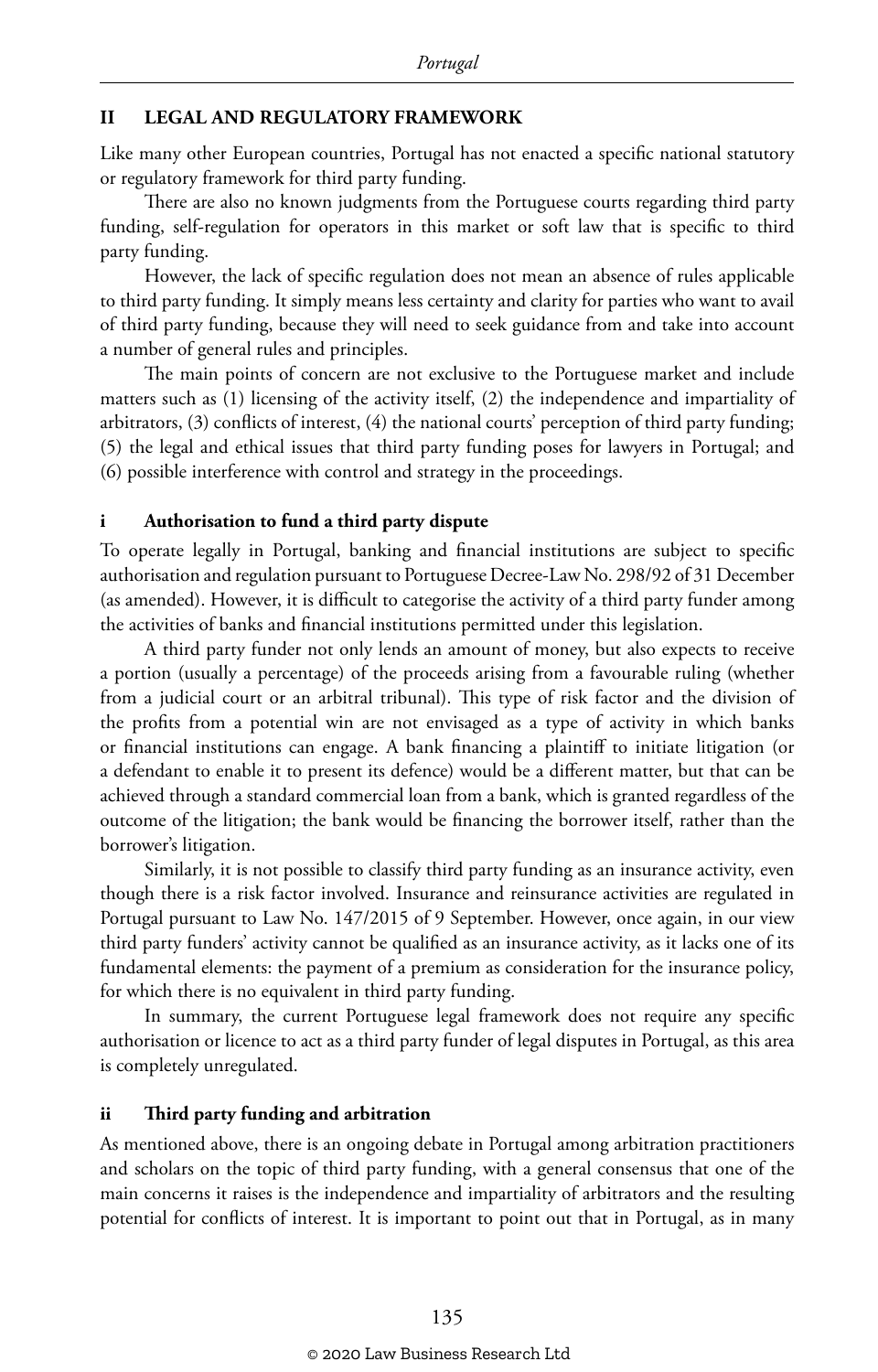#### **II LEGAL AND REGULATORY FRAMEWORK**

Like many other European countries, Portugal has not enacted a specific national statutory or regulatory framework for third party funding.

There are also no known judgments from the Portuguese courts regarding third party funding, self-regulation for operators in this market or soft law that is specific to third party funding.

However, the lack of specific regulation does not mean an absence of rules applicable to third party funding. It simply means less certainty and clarity for parties who want to avail of third party funding, because they will need to seek guidance from and take into account a number of general rules and principles.

The main points of concern are not exclusive to the Portuguese market and include matters such as (1) licensing of the activity itself, (2) the independence and impartiality of arbitrators, (3) conflicts of interest, (4) the national courts' perception of third party funding; (5) the legal and ethical issues that third party funding poses for lawyers in Portugal; and (6) possible interference with control and strategy in the proceedings.

#### **i Authorisation to fund a third party dispute**

To operate legally in Portugal, banking and financial institutions are subject to specific authorisation and regulation pursuant to Portuguese Decree-Law No. 298/92 of 31 December (as amended). However, it is difficult to categorise the activity of a third party funder among the activities of banks and financial institutions permitted under this legislation.

A third party funder not only lends an amount of money, but also expects to receive a portion (usually a percentage) of the proceeds arising from a favourable ruling (whether from a judicial court or an arbitral tribunal). This type of risk factor and the division of the profits from a potential win are not envisaged as a type of activity in which banks or financial institutions can engage. A bank financing a plaintiff to initiate litigation (or a defendant to enable it to present its defence) would be a different matter, but that can be achieved through a standard commercial loan from a bank, which is granted regardless of the outcome of the litigation; the bank would be financing the borrower itself, rather than the borrower's litigation.

Similarly, it is not possible to classify third party funding as an insurance activity, even though there is a risk factor involved. Insurance and reinsurance activities are regulated in Portugal pursuant to Law No. 147/2015 of 9 September. However, once again, in our view third party funders' activity cannot be qualified as an insurance activity, as it lacks one of its fundamental elements: the payment of a premium as consideration for the insurance policy, for which there is no equivalent in third party funding.

In summary, the current Portuguese legal framework does not require any specific authorisation or licence to act as a third party funder of legal disputes in Portugal, as this area is completely unregulated.

#### **ii Third party funding and arbitration**

As mentioned above, there is an ongoing debate in Portugal among arbitration practitioners and scholars on the topic of third party funding, with a general consensus that one of the main concerns it raises is the independence and impartiality of arbitrators and the resulting potential for conflicts of interest. It is important to point out that in Portugal, as in many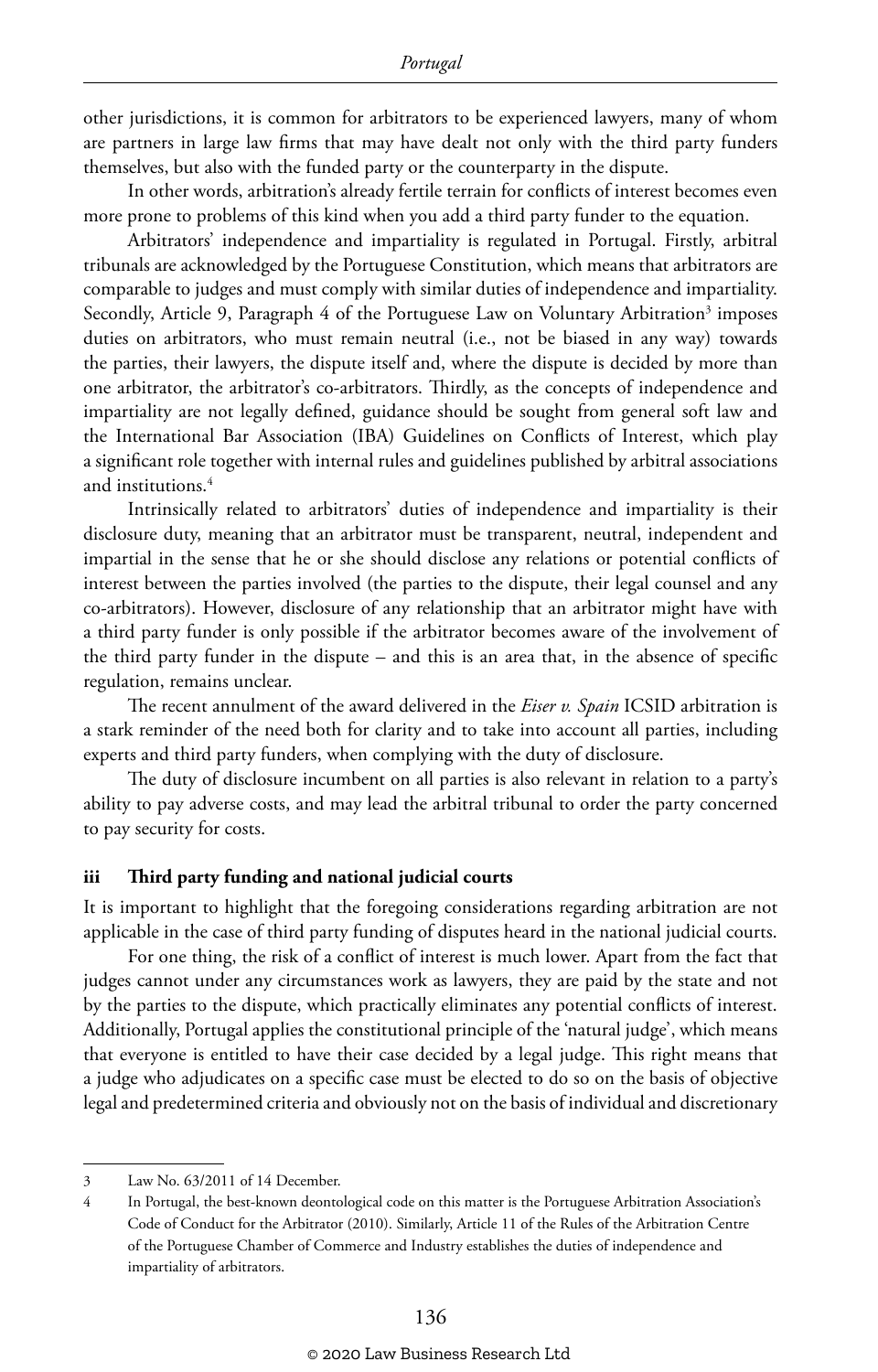other jurisdictions, it is common for arbitrators to be experienced lawyers, many of whom are partners in large law firms that may have dealt not only with the third party funders themselves, but also with the funded party or the counterparty in the dispute.

In other words, arbitration's already fertile terrain for conflicts of interest becomes even more prone to problems of this kind when you add a third party funder to the equation.

Arbitrators' independence and impartiality is regulated in Portugal. Firstly, arbitral tribunals are acknowledged by the Portuguese Constitution, which means that arbitrators are comparable to judges and must comply with similar duties of independence and impartiality. Secondly, Article 9, Paragraph 4 of the Portuguese Law on Voluntary Arbitration<sup>3</sup> imposes duties on arbitrators, who must remain neutral (i.e., not be biased in any way) towards the parties, their lawyers, the dispute itself and, where the dispute is decided by more than one arbitrator, the arbitrator's co-arbitrators. Thirdly, as the concepts of independence and impartiality are not legally defined, guidance should be sought from general soft law and the International Bar Association (IBA) Guidelines on Conflicts of Interest, which play a significant role together with internal rules and guidelines published by arbitral associations and institutions.4

Intrinsically related to arbitrators' duties of independence and impartiality is their disclosure duty, meaning that an arbitrator must be transparent, neutral, independent and impartial in the sense that he or she should disclose any relations or potential conflicts of interest between the parties involved (the parties to the dispute, their legal counsel and any co-arbitrators). However, disclosure of any relationship that an arbitrator might have with a third party funder is only possible if the arbitrator becomes aware of the involvement of the third party funder in the dispute – and this is an area that, in the absence of specific regulation, remains unclear.

The recent annulment of the award delivered in the *Eiser v. Spain* ICSID arbitration is a stark reminder of the need both for clarity and to take into account all parties, including experts and third party funders, when complying with the duty of disclosure.

The duty of disclosure incumbent on all parties is also relevant in relation to a party's ability to pay adverse costs, and may lead the arbitral tribunal to order the party concerned to pay security for costs.

#### **iii Third party funding and national judicial courts**

It is important to highlight that the foregoing considerations regarding arbitration are not applicable in the case of third party funding of disputes heard in the national judicial courts.

For one thing, the risk of a conflict of interest is much lower. Apart from the fact that judges cannot under any circumstances work as lawyers, they are paid by the state and not by the parties to the dispute, which practically eliminates any potential conflicts of interest. Additionally, Portugal applies the constitutional principle of the 'natural judge', which means that everyone is entitled to have their case decided by a legal judge. This right means that a judge who adjudicates on a specific case must be elected to do so on the basis of objective legal and predetermined criteria and obviously not on the basis of individual and discretionary

<sup>3</sup> Law No. 63/2011 of 14 December.

<sup>4</sup> In Portugal, the best-known deontological code on this matter is the Portuguese Arbitration Association's Code of Conduct for the Arbitrator (2010). Similarly, Article 11 of the Rules of the Arbitration Centre of the Portuguese Chamber of Commerce and Industry establishes the duties of independence and impartiality of arbitrators.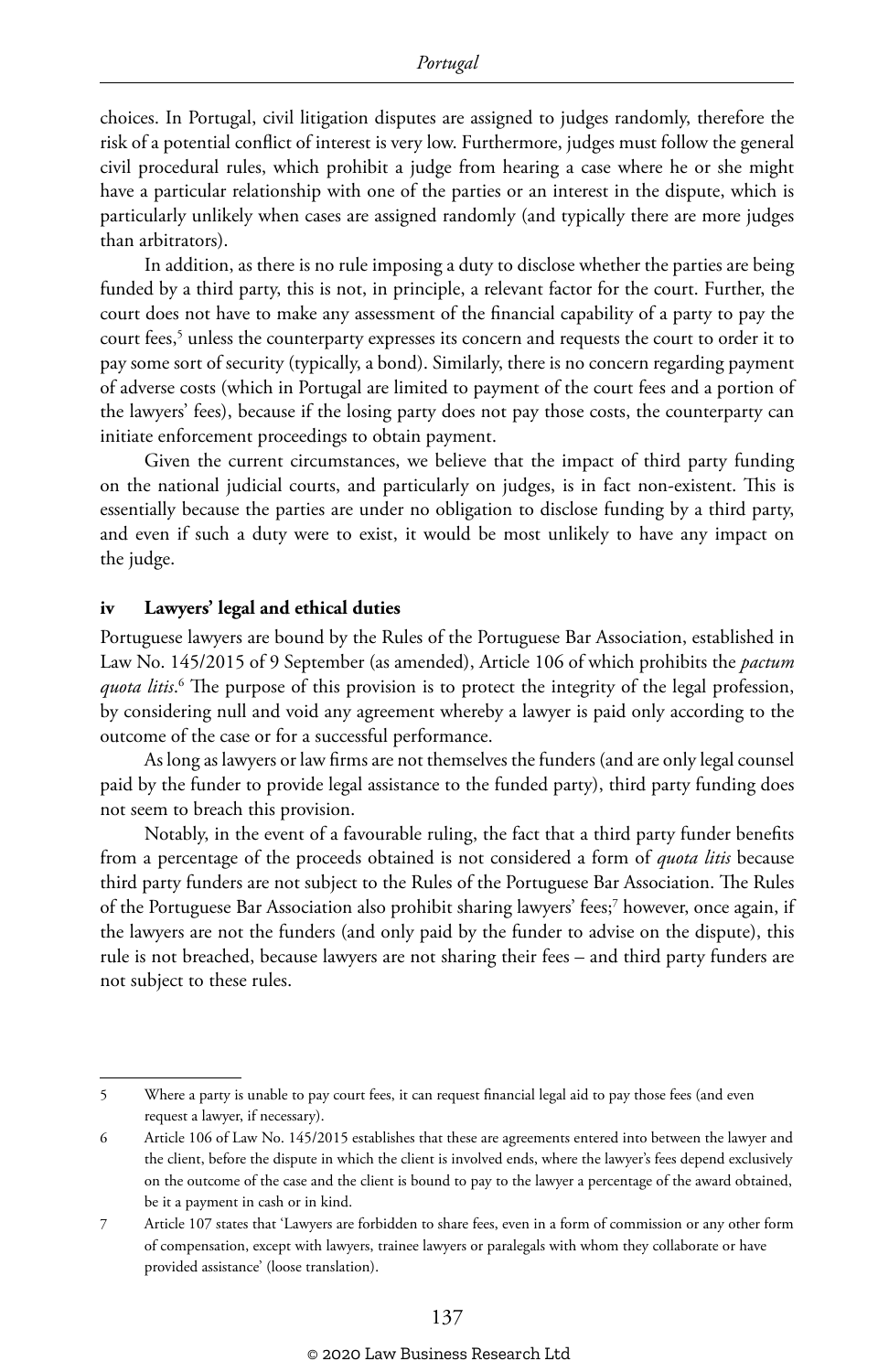choices. In Portugal, civil litigation disputes are assigned to judges randomly, therefore the risk of a potential conflict of interest is very low. Furthermore, judges must follow the general civil procedural rules, which prohibit a judge from hearing a case where he or she might have a particular relationship with one of the parties or an interest in the dispute, which is particularly unlikely when cases are assigned randomly (and typically there are more judges than arbitrators).

In addition, as there is no rule imposing a duty to disclose whether the parties are being funded by a third party, this is not, in principle, a relevant factor for the court. Further, the court does not have to make any assessment of the financial capability of a party to pay the court fees,<sup>5</sup> unless the counterparty expresses its concern and requests the court to order it to pay some sort of security (typically, a bond). Similarly, there is no concern regarding payment of adverse costs (which in Portugal are limited to payment of the court fees and a portion of the lawyers' fees), because if the losing party does not pay those costs, the counterparty can initiate enforcement proceedings to obtain payment.

Given the current circumstances, we believe that the impact of third party funding on the national judicial courts, and particularly on judges, is in fact non-existent. This is essentially because the parties are under no obligation to disclose funding by a third party, and even if such a duty were to exist, it would be most unlikely to have any impact on the judge.

#### **iv Lawyers' legal and ethical duties**

Portuguese lawyers are bound by the Rules of the Portuguese Bar Association, established in Law No. 145/2015 of 9 September (as amended), Article 106 of which prohibits the *pactum quota litis*. 6 The purpose of this provision is to protect the integrity of the legal profession, by considering null and void any agreement whereby a lawyer is paid only according to the outcome of the case or for a successful performance.

As long as lawyers or law firms are not themselves the funders (and are only legal counsel paid by the funder to provide legal assistance to the funded party), third party funding does not seem to breach this provision.

Notably, in the event of a favourable ruling, the fact that a third party funder benefits from a percentage of the proceeds obtained is not considered a form of *quota litis* because third party funders are not subject to the Rules of the Portuguese Bar Association. The Rules of the Portuguese Bar Association also prohibit sharing lawyers' fees;7 however, once again, if the lawyers are not the funders (and only paid by the funder to advise on the dispute), this rule is not breached, because lawyers are not sharing their fees – and third party funders are not subject to these rules.

<sup>5</sup> Where a party is unable to pay court fees, it can request financial legal aid to pay those fees (and even request a lawyer, if necessary).

<sup>6</sup> Article 106 of Law No. 145/2015 establishes that these are agreements entered into between the lawyer and the client, before the dispute in which the client is involved ends, where the lawyer's fees depend exclusively on the outcome of the case and the client is bound to pay to the lawyer a percentage of the award obtained, be it a payment in cash or in kind.

<sup>7</sup> Article 107 states that 'Lawyers are forbidden to share fees, even in a form of commission or any other form of compensation, except with lawyers, trainee lawyers or paralegals with whom they collaborate or have provided assistance' (loose translation).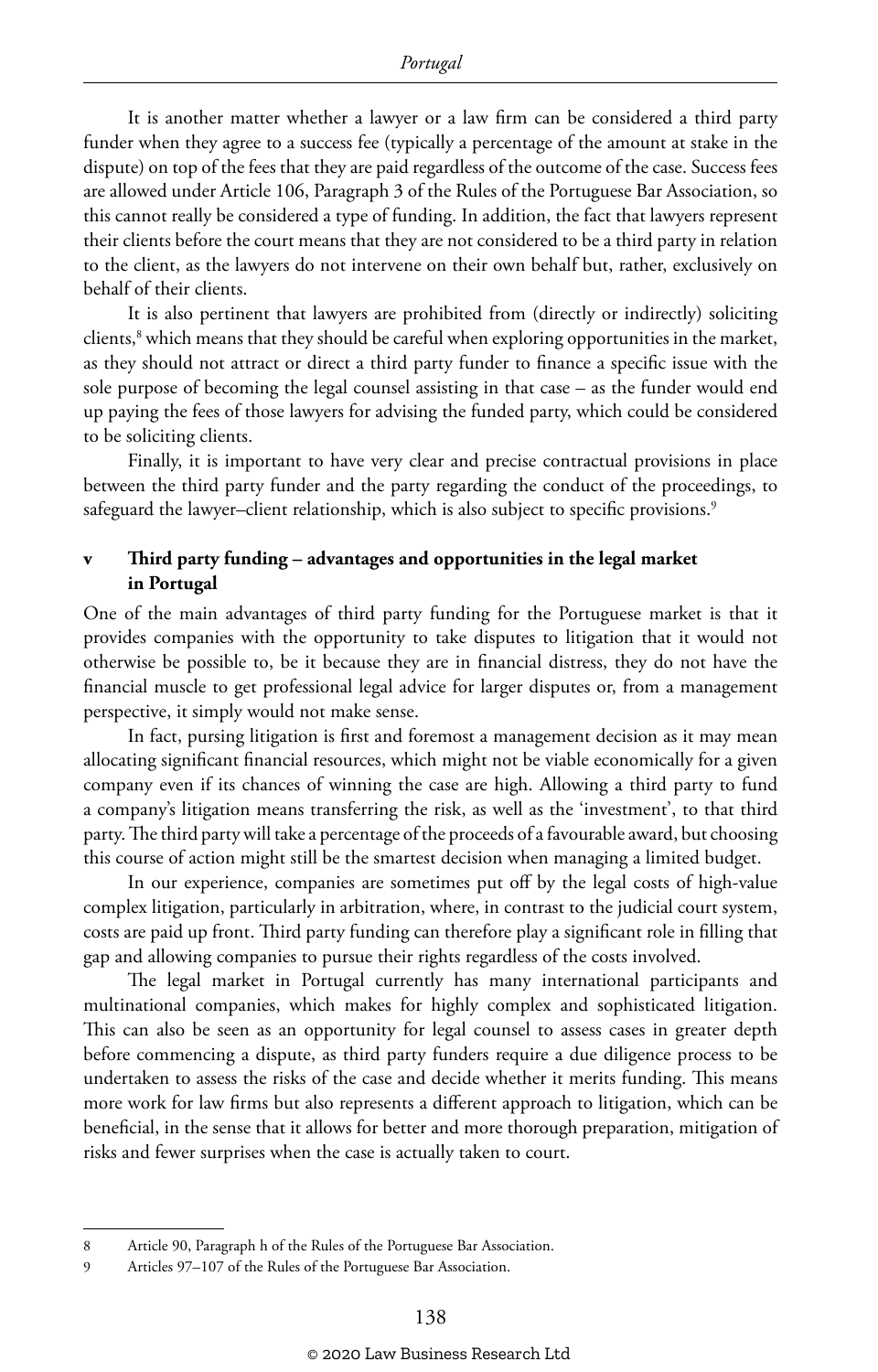It is another matter whether a lawyer or a law firm can be considered a third party funder when they agree to a success fee (typically a percentage of the amount at stake in the dispute) on top of the fees that they are paid regardless of the outcome of the case. Success fees are allowed under Article 106, Paragraph 3 of the Rules of the Portuguese Bar Association, so this cannot really be considered a type of funding. In addition, the fact that lawyers represent their clients before the court means that they are not considered to be a third party in relation to the client, as the lawyers do not intervene on their own behalf but, rather, exclusively on behalf of their clients.

It is also pertinent that lawyers are prohibited from (directly or indirectly) soliciting clients,<sup>8</sup> which means that they should be careful when exploring opportunities in the market, as they should not attract or direct a third party funder to finance a specific issue with the sole purpose of becoming the legal counsel assisting in that case – as the funder would end up paying the fees of those lawyers for advising the funded party, which could be considered to be soliciting clients.

Finally, it is important to have very clear and precise contractual provisions in place between the third party funder and the party regarding the conduct of the proceedings, to safeguard the lawyer-client relationship, which is also subject to specific provisions.<sup>9</sup>

#### **v Third party funding – advantages and opportunities in the legal market in Portugal**

One of the main advantages of third party funding for the Portuguese market is that it provides companies with the opportunity to take disputes to litigation that it would not otherwise be possible to, be it because they are in financial distress, they do not have the financial muscle to get professional legal advice for larger disputes or, from a management perspective, it simply would not make sense.

In fact, pursing litigation is first and foremost a management decision as it may mean allocating significant financial resources, which might not be viable economically for a given company even if its chances of winning the case are high. Allowing a third party to fund a company's litigation means transferring the risk, as well as the 'investment', to that third party. The third party will take a percentage of the proceeds of a favourable award, but choosing this course of action might still be the smartest decision when managing a limited budget.

In our experience, companies are sometimes put off by the legal costs of high-value complex litigation, particularly in arbitration, where, in contrast to the judicial court system, costs are paid up front. Third party funding can therefore play a significant role in filling that gap and allowing companies to pursue their rights regardless of the costs involved.

The legal market in Portugal currently has many international participants and multinational companies, which makes for highly complex and sophisticated litigation. This can also be seen as an opportunity for legal counsel to assess cases in greater depth before commencing a dispute, as third party funders require a due diligence process to be undertaken to assess the risks of the case and decide whether it merits funding. This means more work for law firms but also represents a different approach to litigation, which can be beneficial, in the sense that it allows for better and more thorough preparation, mitigation of risks and fewer surprises when the case is actually taken to court.

<sup>8</sup> Article 90, Paragraph h of the Rules of the Portuguese Bar Association.

<sup>9</sup> Articles 97–107 of the Rules of the Portuguese Bar Association.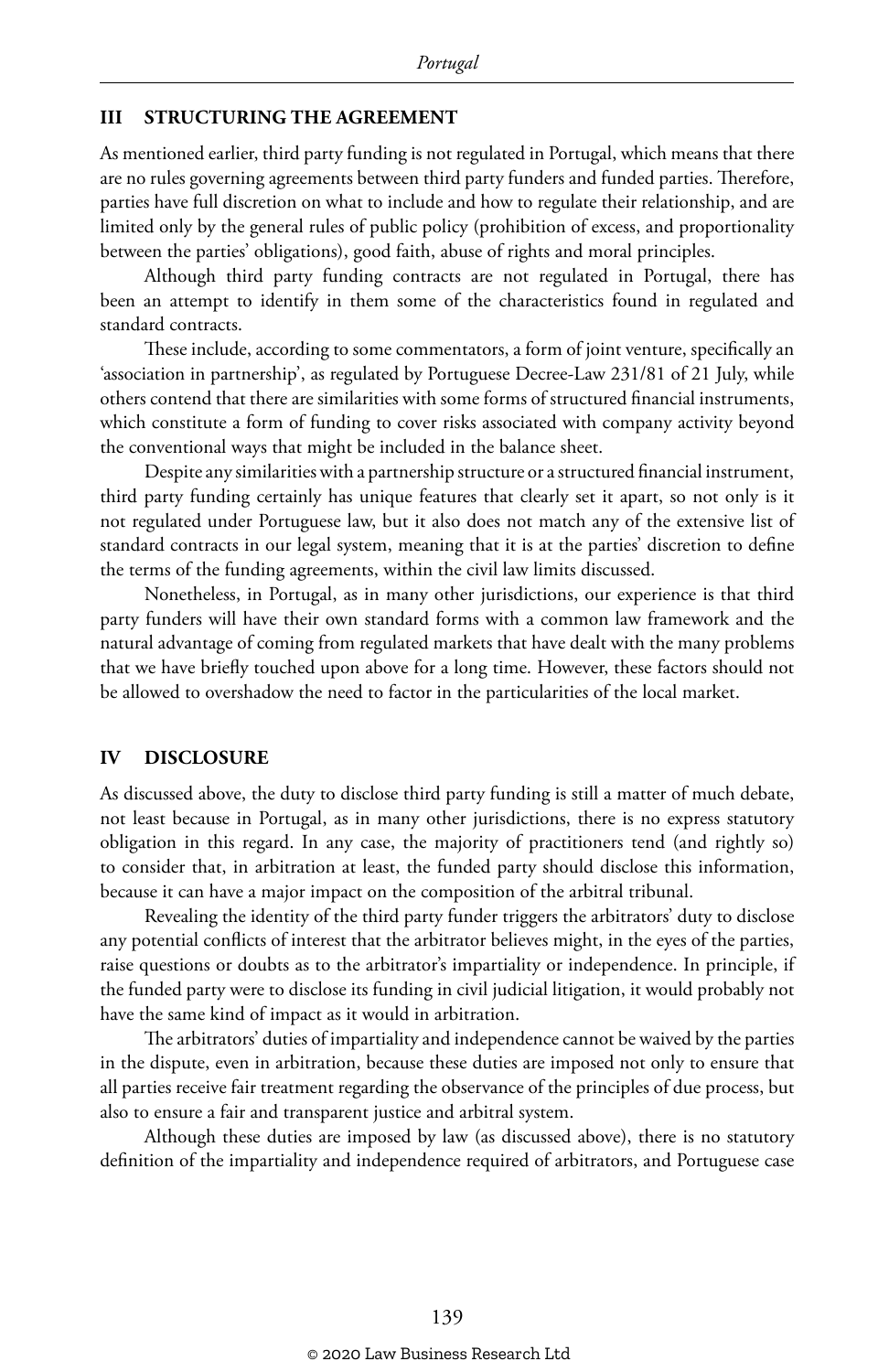#### **III STRUCTURING THE AGREEMENT**

As mentioned earlier, third party funding is not regulated in Portugal, which means that there are no rules governing agreements between third party funders and funded parties. Therefore, parties have full discretion on what to include and how to regulate their relationship, and are limited only by the general rules of public policy (prohibition of excess, and proportionality between the parties' obligations), good faith, abuse of rights and moral principles.

Although third party funding contracts are not regulated in Portugal, there has been an attempt to identify in them some of the characteristics found in regulated and standard contracts.

These include, according to some commentators, a form of joint venture, specifically an 'association in partnership', as regulated by Portuguese Decree-Law 231/81 of 21 July, while others contend that there are similarities with some forms of structured financial instruments, which constitute a form of funding to cover risks associated with company activity beyond the conventional ways that might be included in the balance sheet.

Despite any similarities with a partnership structure or a structured financial instrument, third party funding certainly has unique features that clearly set it apart, so not only is it not regulated under Portuguese law, but it also does not match any of the extensive list of standard contracts in our legal system, meaning that it is at the parties' discretion to define the terms of the funding agreements, within the civil law limits discussed.

Nonetheless, in Portugal, as in many other jurisdictions, our experience is that third party funders will have their own standard forms with a common law framework and the natural advantage of coming from regulated markets that have dealt with the many problems that we have briefly touched upon above for a long time. However, these factors should not be allowed to overshadow the need to factor in the particularities of the local market.

#### **IV DISCLOSURE**

As discussed above, the duty to disclose third party funding is still a matter of much debate, not least because in Portugal, as in many other jurisdictions, there is no express statutory obligation in this regard. In any case, the majority of practitioners tend (and rightly so) to consider that, in arbitration at least, the funded party should disclose this information, because it can have a major impact on the composition of the arbitral tribunal.

Revealing the identity of the third party funder triggers the arbitrators' duty to disclose any potential conflicts of interest that the arbitrator believes might, in the eyes of the parties, raise questions or doubts as to the arbitrator's impartiality or independence. In principle, if the funded party were to disclose its funding in civil judicial litigation, it would probably not have the same kind of impact as it would in arbitration.

The arbitrators' duties of impartiality and independence cannot be waived by the parties in the dispute, even in arbitration, because these duties are imposed not only to ensure that all parties receive fair treatment regarding the observance of the principles of due process, but also to ensure a fair and transparent justice and arbitral system.

Although these duties are imposed by law (as discussed above), there is no statutory definition of the impartiality and independence required of arbitrators, and Portuguese case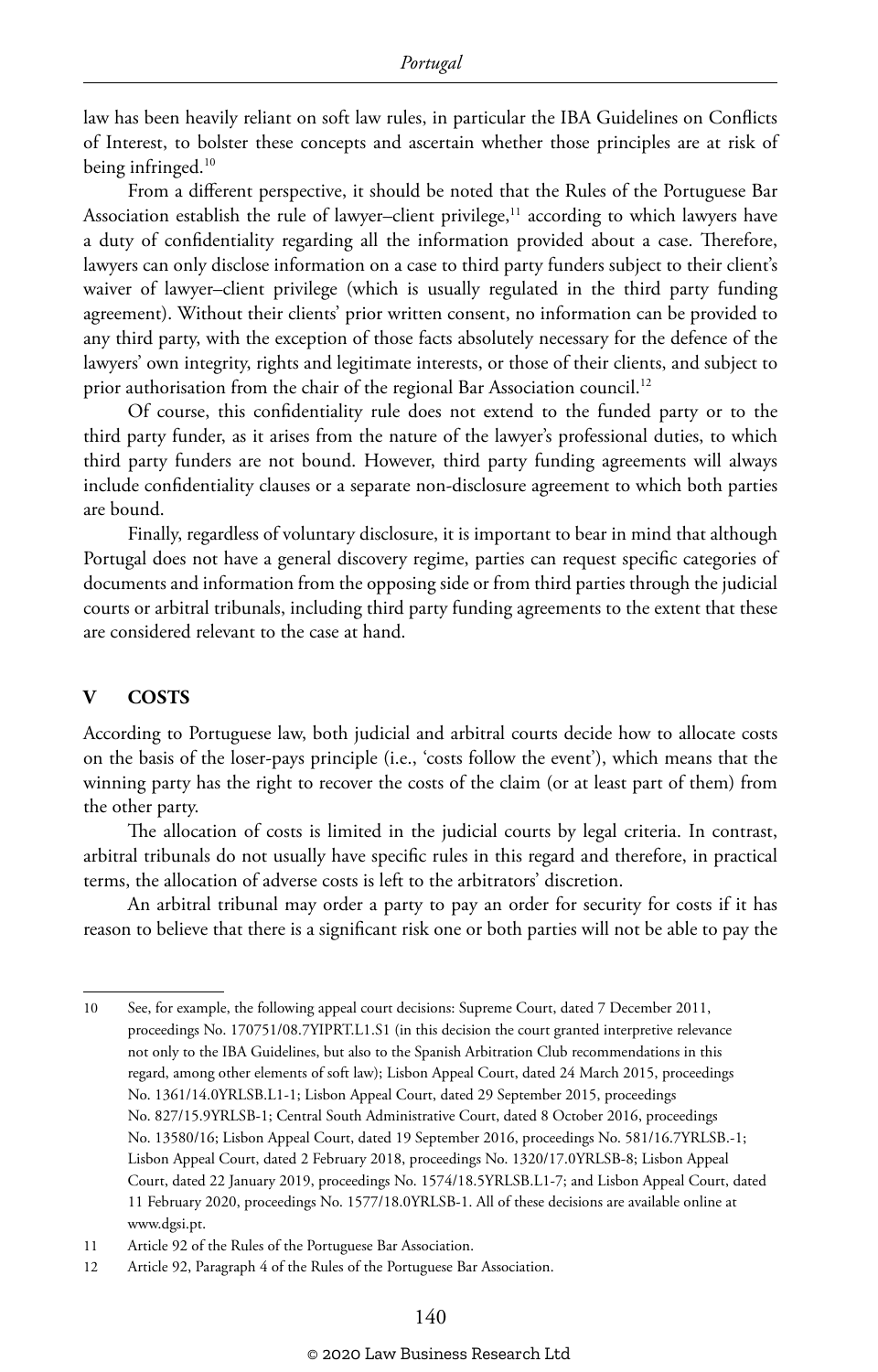law has been heavily reliant on soft law rules, in particular the IBA Guidelines on Conflicts of Interest, to bolster these concepts and ascertain whether those principles are at risk of being infringed.<sup>10</sup>

From a different perspective, it should be noted that the Rules of the Portuguese Bar Association establish the rule of lawyer-client privilege, $11$  according to which lawyers have a duty of confidentiality regarding all the information provided about a case. Therefore, lawyers can only disclose information on a case to third party funders subject to their client's waiver of lawyer–client privilege (which is usually regulated in the third party funding agreement). Without their clients' prior written consent, no information can be provided to any third party, with the exception of those facts absolutely necessary for the defence of the lawyers' own integrity, rights and legitimate interests, or those of their clients, and subject to prior authorisation from the chair of the regional Bar Association council.<sup>12</sup>

Of course, this confidentiality rule does not extend to the funded party or to the third party funder, as it arises from the nature of the lawyer's professional duties, to which third party funders are not bound. However, third party funding agreements will always include confidentiality clauses or a separate non-disclosure agreement to which both parties are bound.

Finally, regardless of voluntary disclosure, it is important to bear in mind that although Portugal does not have a general discovery regime, parties can request specific categories of documents and information from the opposing side or from third parties through the judicial courts or arbitral tribunals, including third party funding agreements to the extent that these are considered relevant to the case at hand.

#### **V COSTS**

According to Portuguese law, both judicial and arbitral courts decide how to allocate costs on the basis of the loser-pays principle (i.e., 'costs follow the event'), which means that the winning party has the right to recover the costs of the claim (or at least part of them) from the other party.

The allocation of costs is limited in the judicial courts by legal criteria. In contrast, arbitral tribunals do not usually have specific rules in this regard and therefore, in practical terms, the allocation of adverse costs is left to the arbitrators' discretion.

An arbitral tribunal may order a party to pay an order for security for costs if it has reason to believe that there is a significant risk one or both parties will not be able to pay the

<sup>10</sup> See, for example, the following appeal court decisions: Supreme Court, dated 7 December 2011, proceedings No. 170751/08.7YIPRT.L1.S1 (in this decision the court granted interpretive relevance not only to the IBA Guidelines, but also to the Spanish Arbitration Club recommendations in this regard, among other elements of soft law); Lisbon Appeal Court, dated 24 March 2015, proceedings No. 1361/14.0YRLSB.L1-1; Lisbon Appeal Court, dated 29 September 2015, proceedings No. 827/15.9YRLSB-1; Central South Administrative Court, dated 8 October 2016, proceedings No. 13580/16; Lisbon Appeal Court, dated 19 September 2016, proceedings No. 581/16.7YRLSB.-1; Lisbon Appeal Court, dated 2 February 2018, proceedings No. 1320/17.0YRLSB-8; Lisbon Appeal Court, dated 22 January 2019, proceedings No. 1574/18.5YRLSB.L1-7; and Lisbon Appeal Court, dated 11 February 2020, proceedings No. 1577/18.0YRLSB-1. All of these decisions are available online at www.dgsi.pt.

<sup>11</sup> Article 92 of the Rules of the Portuguese Bar Association.

<sup>12</sup> Article 92, Paragraph 4 of the Rules of the Portuguese Bar Association.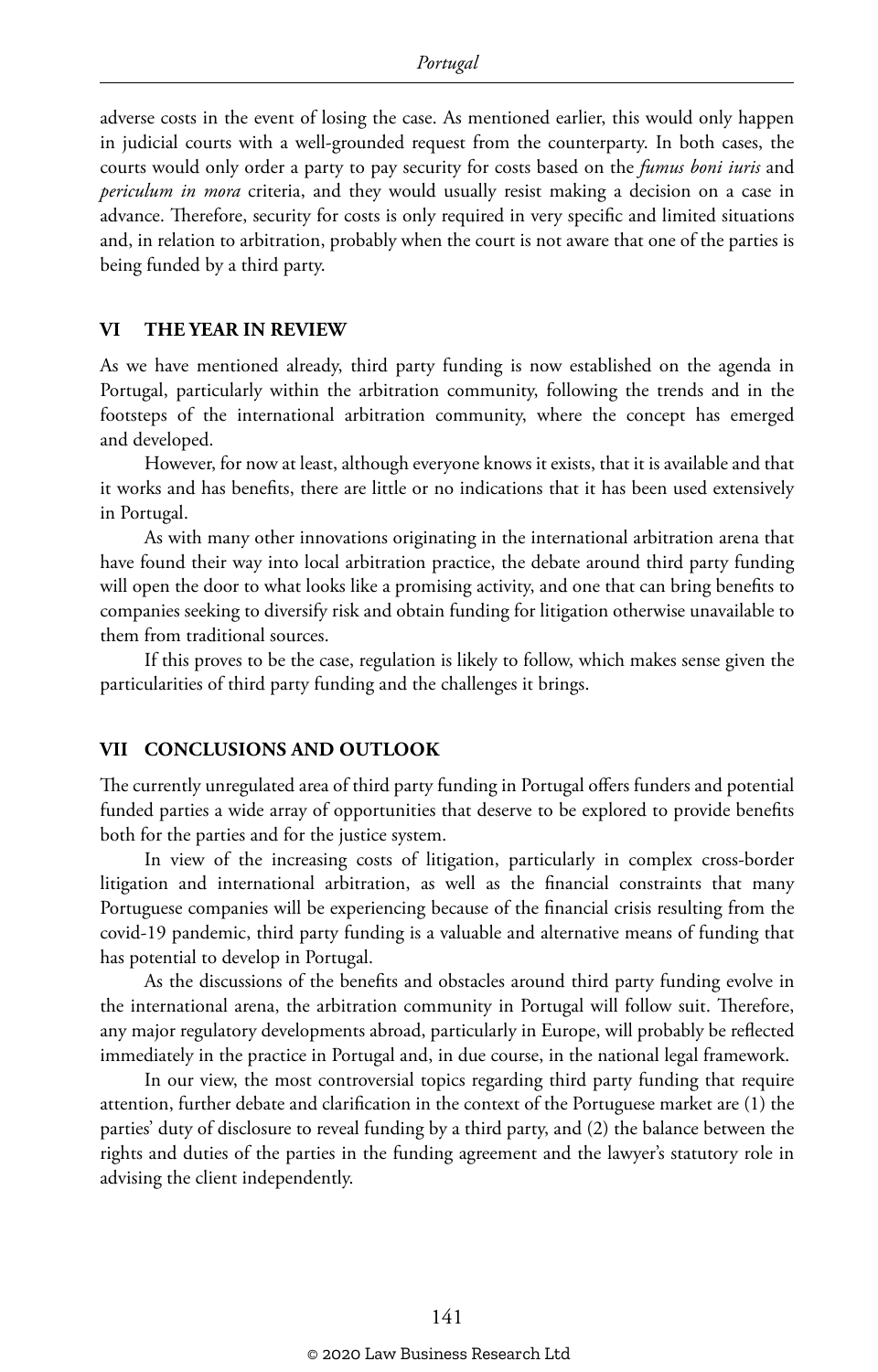adverse costs in the event of losing the case. As mentioned earlier, this would only happen in judicial courts with a well-grounded request from the counterparty. In both cases, the courts would only order a party to pay security for costs based on the *fumus boni iuris* and *periculum in mora* criteria, and they would usually resist making a decision on a case in advance. Therefore, security for costs is only required in very specific and limited situations and, in relation to arbitration, probably when the court is not aware that one of the parties is being funded by a third party.

#### **VI THE YEAR IN REVIEW**

As we have mentioned already, third party funding is now established on the agenda in Portugal, particularly within the arbitration community, following the trends and in the footsteps of the international arbitration community, where the concept has emerged and developed.

However, for now at least, although everyone knows it exists, that it is available and that it works and has benefits, there are little or no indications that it has been used extensively in Portugal.

As with many other innovations originating in the international arbitration arena that have found their way into local arbitration practice, the debate around third party funding will open the door to what looks like a promising activity, and one that can bring benefits to companies seeking to diversify risk and obtain funding for litigation otherwise unavailable to them from traditional sources.

If this proves to be the case, regulation is likely to follow, which makes sense given the particularities of third party funding and the challenges it brings.

#### **VII CONCLUSIONS AND OUTLOOK**

The currently unregulated area of third party funding in Portugal offers funders and potential funded parties a wide array of opportunities that deserve to be explored to provide benefits both for the parties and for the justice system.

In view of the increasing costs of litigation, particularly in complex cross-border litigation and international arbitration, as well as the financial constraints that many Portuguese companies will be experiencing because of the financial crisis resulting from the covid-19 pandemic, third party funding is a valuable and alternative means of funding that has potential to develop in Portugal.

As the discussions of the benefits and obstacles around third party funding evolve in the international arena, the arbitration community in Portugal will follow suit. Therefore, any major regulatory developments abroad, particularly in Europe, will probably be reflected immediately in the practice in Portugal and, in due course, in the national legal framework.

In our view, the most controversial topics regarding third party funding that require attention, further debate and clarification in the context of the Portuguese market are (1) the parties' duty of disclosure to reveal funding by a third party, and (2) the balance between the rights and duties of the parties in the funding agreement and the lawyer's statutory role in advising the client independently.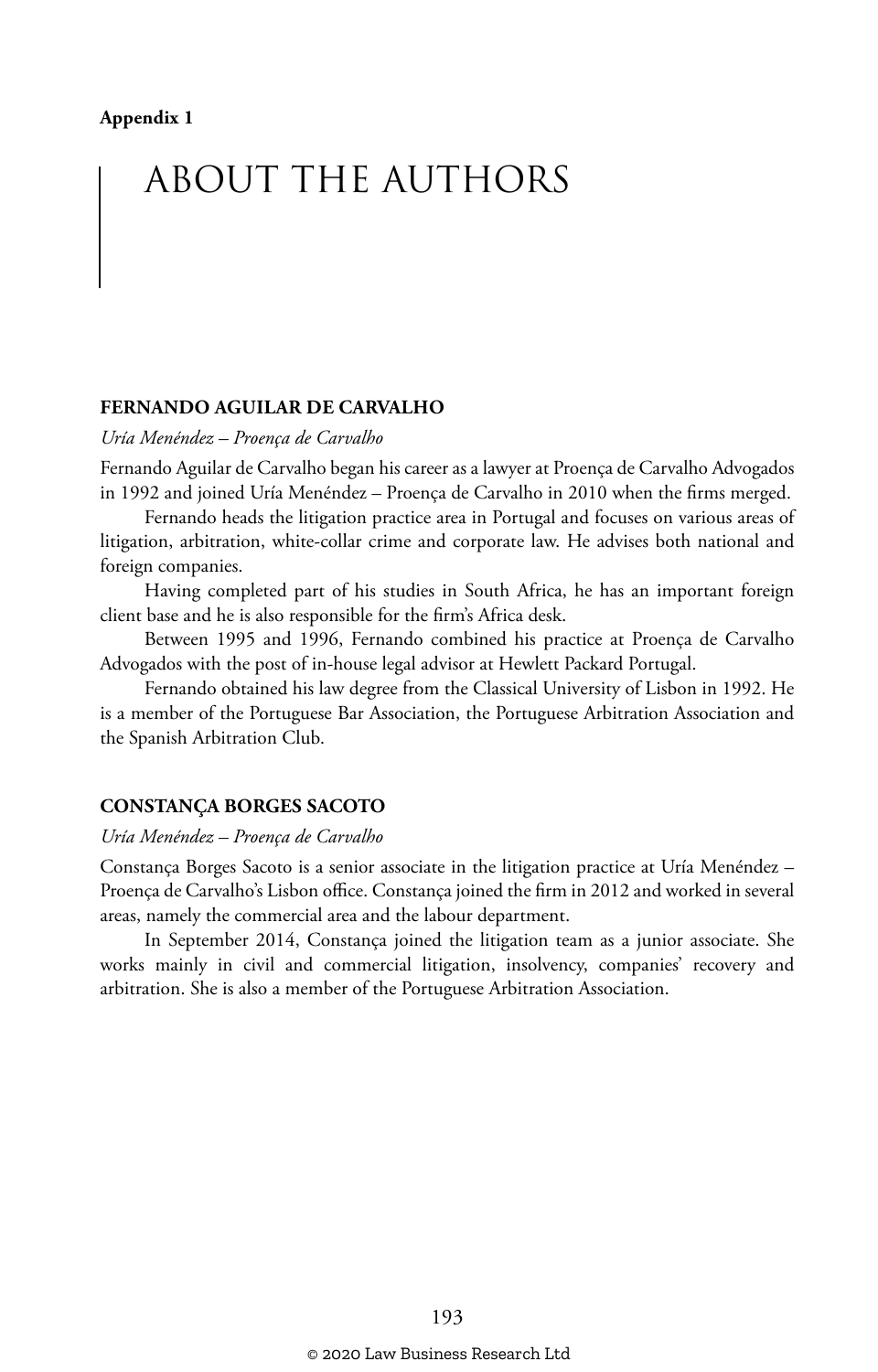# ABOUT THE AUTHORS

#### **FERNANDO AGUILAR DE CARVALHO**

*Uría Menéndez – Proença de Carvalho*

Fernando Aguilar de Carvalho began his career as a lawyer at Proença de Carvalho Advogados in 1992 and joined Uría Menéndez – Proença de Carvalho in 2010 when the firms merged.

Fernando heads the litigation practice area in Portugal and focuses on various areas of litigation, arbitration, white-collar crime and corporate law. He advises both national and foreign companies.

Having completed part of his studies in South Africa, he has an important foreign client base and he is also responsible for the firm's Africa desk.

Between 1995 and 1996, Fernando combined his practice at Proença de Carvalho Advogados with the post of in-house legal advisor at Hewlett Packard Portugal.

Fernando obtained his law degree from the Classical University of Lisbon in 1992. He is a member of the Portuguese Bar Association, the Portuguese Arbitration Association and the Spanish Arbitration Club.

#### **CONSTANÇA BORGES SACOTO**

#### *Uría Menéndez – Proença de Carvalho*

Constança Borges Sacoto is a senior associate in the litigation practice at Uría Menéndez – Proença de Carvalho's Lisbon office. Constança joined the firm in 2012 and worked in several areas, namely the commercial area and the labour department.

In September 2014, Constança joined the litigation team as a junior associate. She works mainly in civil and commercial litigation, insolvency, companies' recovery and arbitration. She is also a member of the Portuguese Arbitration Association.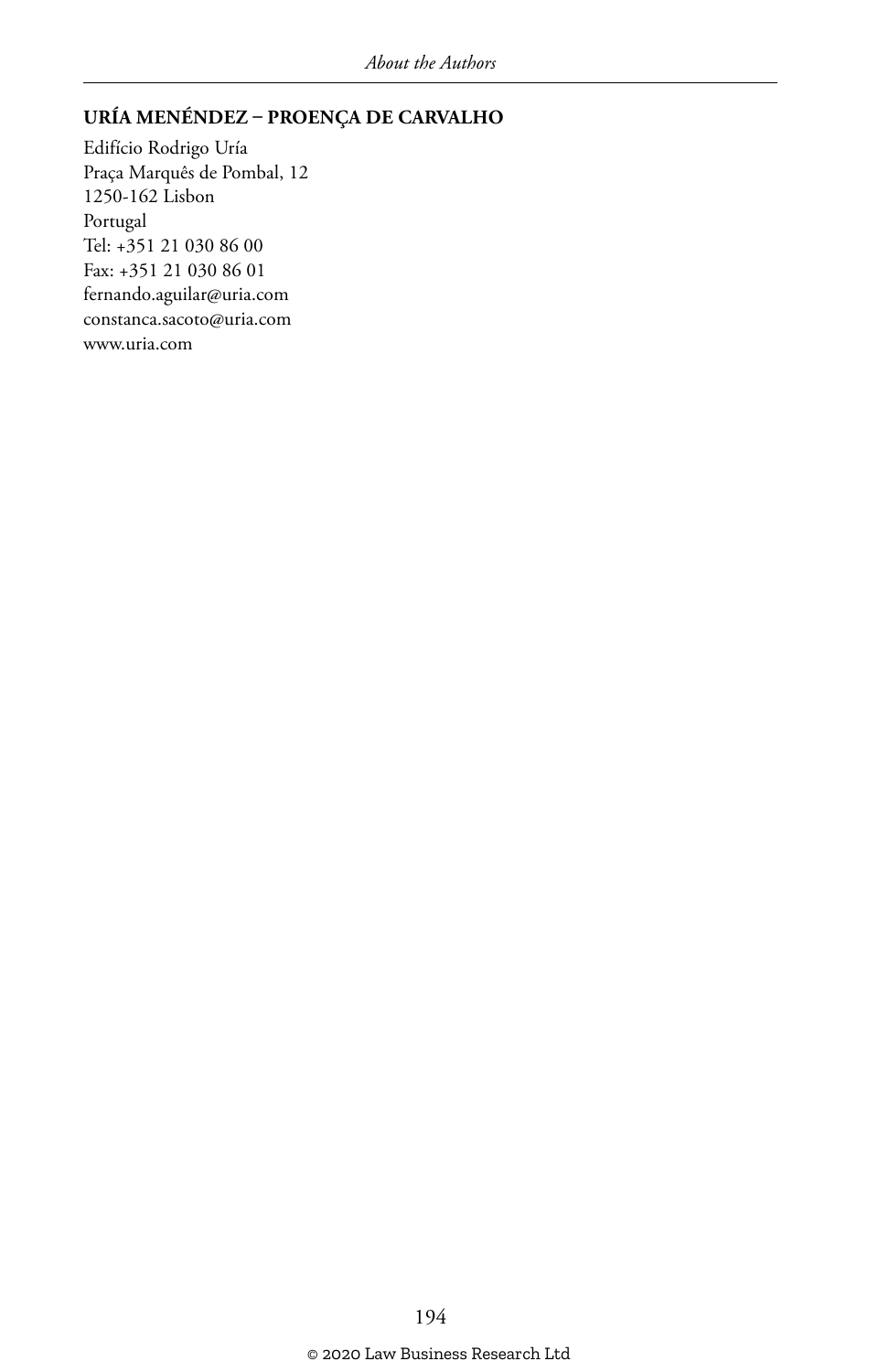#### **URÍA MENÉNDEZ – PROENÇA DE CARVALHO**

Edifício Rodrigo Uría Praça Marquês de Pombal, 12 1250-162 Lisbon Portugal Tel: +351 21 030 86 00 Fax: +351 21 030 86 01 fernando.aguilar@uria.com constanca.sacoto@uria.com www.uria.com